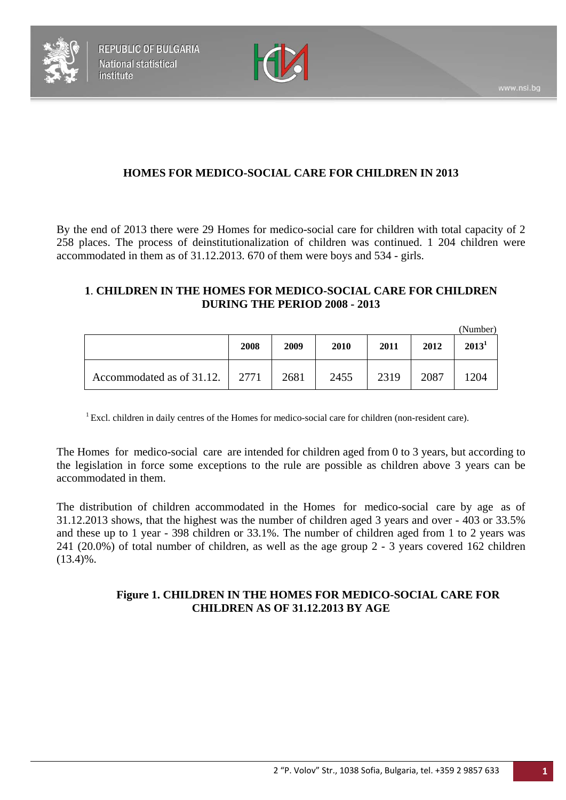



# **HOMES FOR MEDICO-SOCIAL CARE FOR CHILDREN IN 2013**

By the end of 2013 there were 29 Homes for medico-social care for children with total capacity of 2 258 places. The process of deinstitutionalization of children was continued. 1 204 children were accommodated in them as of 31.12.2013. 670 of them were boys and 534 - girls.

#### **1**. **CHILDREN IN THE HOMES FOR MEDICO-SOCIAL CARE FOR CHILDREN DURING THE PERIOD 2008 - 2013**

|                           |      |      |      |      |      | (Number) |
|---------------------------|------|------|------|------|------|----------|
|                           | 2008 | 2009 | 2010 | 2011 | 2012 | $2013^1$ |
| Accommodated as of 31.12. | 2771 | 2681 | 2455 | 2319 | 2087 | 1204     |

<sup>1</sup> Excl. children in daily centres of the Homes for medico-social care for children (non-resident care).

The Homes for medico-social care are intended for children aged from 0 to 3 years, but according to the legislation in force some exceptions to the rule are possible as children above 3 years can be accommodated in them.

The distribution of children accommodated in the Homes for medico-social care by age as of 31.12.2013 shows, that the highest was the number of children aged 3 years and over - 403 or 33.5% and these up to 1 year - 398 children or 33.1%. The number of children aged from 1 to 2 years was 241 (20.0%) of total number of children, as well as the age group 2 - 3 years covered 162 children  $(13.4)$ %.

## **Figure 1. CHILDREN IN THE HOMES FOR MEDICO-SOCIAL CARE FOR CHILDREN AS OF 31.12.2013 BY AGE**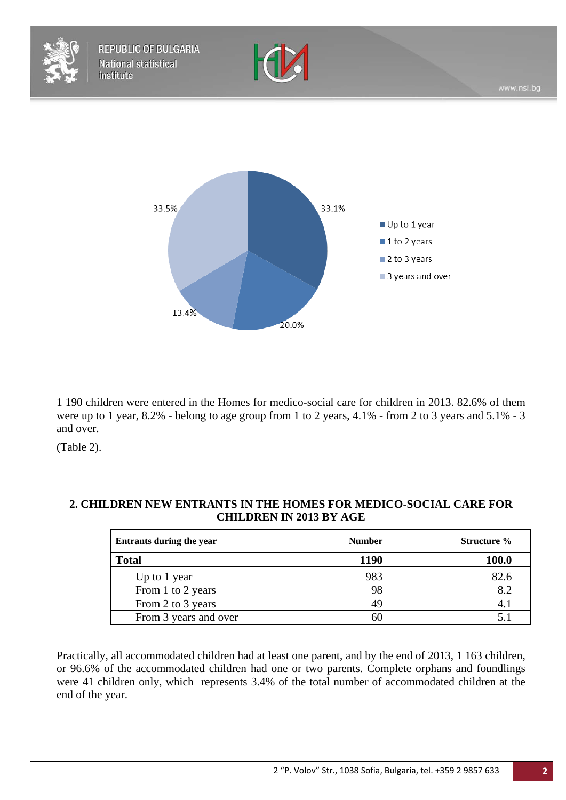



1 190 children were entered in the Homes for medico-social care for children in 2013. 82.6% of them were up to 1 year, 8.2% - belong to age group from 1 to 2 years, 4.1% - from 2 to 3 years and 5.1% - 3 and over.

(Table 2).

| Entrants during the year | <b>Number</b> | <b>Structure</b> % |
|--------------------------|---------------|--------------------|
| <b>Total</b>             | 1190          | 100.0              |
| Up to 1 year             | 983           | 82.6               |
| From 1 to 2 years        | 98            | 8.2                |
| From 2 to 3 years        | 49            |                    |
| From 3 years and over    |               |                    |

#### **2. CHILDREN NEW ENTRANTS IN THE HOMES FOR MEDICO-SOCIAL CARE FOR CHILDREN IN 2013 BY AGE**

Practically, all accommodated children had at least one parent, and by the end of 2013, 1 163 children, or 96.6% of the accommodated children had one or two parents. Complete orphans and foundlings were 41 children only, which represents 3.4% of the total number of accommodated children at the end of the year.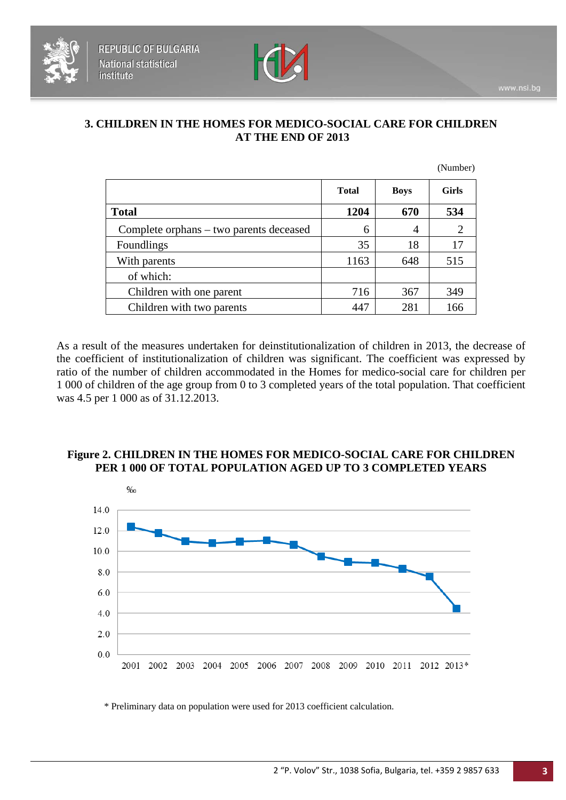

#### **3. CHILDREN IN THE HOMES FOR MEDICO-SOCIAL CARE FOR CHILDREN AT THE END OF 2013**

|                                         |              |             | (Number)       |
|-----------------------------------------|--------------|-------------|----------------|
|                                         | <b>Total</b> | <b>Boys</b> | <b>Girls</b>   |
| <b>Total</b>                            | 1204         | 670         | 534            |
| Complete orphans – two parents deceased | 6            | 4           | $\overline{2}$ |
| Foundlings                              | 35           | 18          | 17             |
| With parents                            | 1163         | 648         | 515            |
| of which:                               |              |             |                |
| Children with one parent                | 716          | 367         | 349            |
| Children with two parents               | 447          | 281         | 166            |

As a result of the measures undertaken for deinstitutionalization of children in 2013, the decrease of the coefficient of institutionalization of children was significant. The coefficient was expressed by ratio of the number of children accommodated in the Homes for medico-social care for children per 1 000 of children of the age group from 0 to 3 completed years of the total population. That coefficient was 4.5 per 1 000 as of 31.12.2013.

## **Figure 2. CHILDREN IN THE HOMES FOR MEDICO-SOCIAL CARE FOR CHILDREN PER 1 000 OF TOTAL POPULATION AGED UP TO 3 COMPLETED YEARS**



\* Preliminary data on population were used for 2013 coefficient calculation.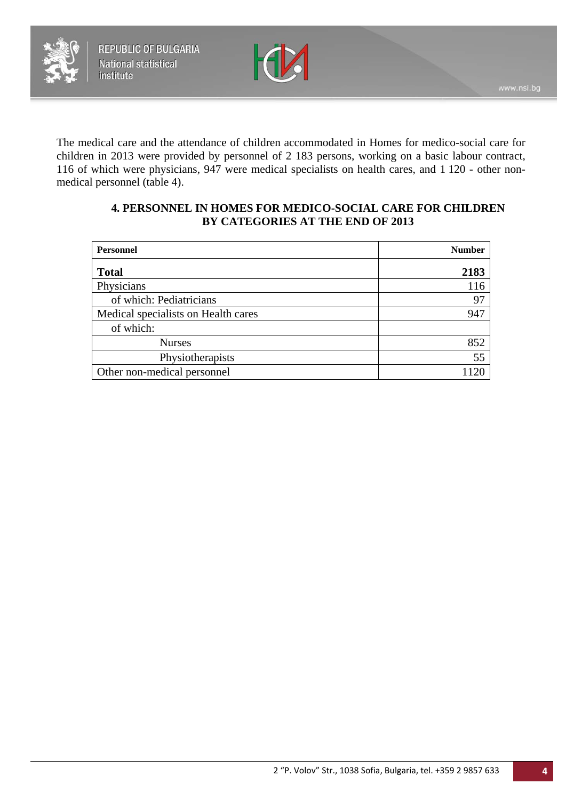

The medical care and the attendance of children accommodated in Homes for medico-social care for children in 2013 were provided by personnel of 2 183 persons, working on a basic labour contract, 116 of which were physicians, 947 were medical specialists on health cares, and 1 120 - other nonmedical personnel (table 4).

#### **4. PERSONNEL IN HOMES FOR MEDICO-SOCIAL CARE FOR CHILDREN BY CATEGORIES AT THE END OF 2013**

| <b>Personnel</b>                    | <b>Number</b> |
|-------------------------------------|---------------|
| <b>Total</b>                        | 2183          |
| Physicians                          | 116           |
| of which: Pediatricians             | 97            |
| Medical specialists on Health cares | 947           |
| of which:                           |               |
| <b>Nurses</b>                       | 852           |
| Physiotherapists                    | 55            |
| Other non-medical personnel         |               |